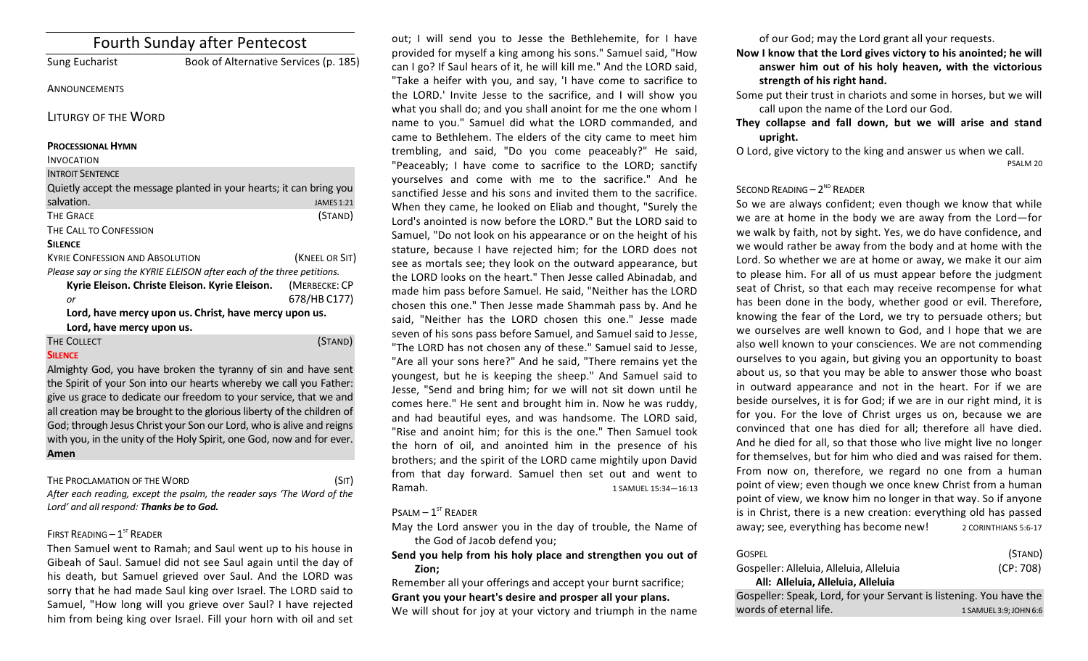|                                                | <b>Fourth Sunday after Pentecost</b>                                    |
|------------------------------------------------|-------------------------------------------------------------------------|
| <b>Sung Eucharist</b>                          | Book of Alternative Services (p. 185)                                   |
| ANNOUNCEMENTS                                  |                                                                         |
| <b>LITURGY OF THE WORD</b>                     |                                                                         |
| <b>PROCESSIONAL HYMN</b>                       |                                                                         |
| <b>INVOCATION</b>                              |                                                                         |
| <b>INTROIT SENTENCE</b>                        |                                                                         |
|                                                | Quietly accept the message planted in your hearts; it can bring you     |
| salvation.                                     | <b>JAMES 1:21</b>                                                       |
| <b>THE GRACE</b>                               | (STAND)                                                                 |
| THE CALL TO CONFESSION                         |                                                                         |
| <b>SILENCE</b>                                 |                                                                         |
| <b>KYRIE CONFESSION AND ABSOLUTION</b>         | (KNEEL OR SIT)                                                          |
|                                                | Please say or sing the KYRIE ELEISON after each of the three petitions. |
| Kyrie Eleison. Christe Eleison. Kyrie Eleison. | (MERBECKE: CP                                                           |
| or                                             | 678/HB C177)                                                            |
|                                                | Lord, have mercy upon us. Christ, have mercy upon us.                   |
| Lord, have mercy upon us.                      |                                                                         |
| THE COLLECT                                    | (STAND)                                                                 |
| <b>SILENCE</b>                                 |                                                                         |
|                                                | Almighty God, you have broken the tyranny of sin and have sent          |
|                                                | the Spirit of your Son into our hearts whereby we call you Father:      |
|                                                |                                                                         |

give us grace to dedicate our freedom to your service, that we and all creation may be brought to the glorious liberty of the children of God; through Jesus Christ your Son our Lord, who is alive and reigns with you, in the unity of the Holy Spirit, one God, now and for ever. **Amen**

THE PROCLAMATION OF THE WORD (SIT) After each reading, except the psalm, the reader says 'The Word of the

# FIRST READING  $-1<sup>ST</sup>$  READER

Lord' and all respond: Thanks be to God.

Then Samuel went to Ramah; and Saul went up to his house in Gibeah of Saul. Samuel did not see Saul again until the day of his death, but Samuel grieved over Saul. And the LORD was sorry that he had made Saul king over Israel. The LORD said to Samuel, "How long will you grieve over Saul? I have rejected him from being king over Israel. Fill your horn with oil and set

out; I will send you to Jesse the Bethlehemite, for I have provided for myself a king among his sons." Samuel said, "How can I go? If Saul hears of it, he will kill me." And the LORD said, "Take a heifer with you, and say, 'I have come to sacrifice to the LORD.' Invite Jesse to the sacrifice, and I will show you what you shall do; and you shall anoint for me the one whom I name to you." Samuel did what the LORD commanded, and came to Bethlehem. The elders of the city came to meet him trembling, and said, "Do you come peaceably?" He said, "Peaceably; I have come to sacrifice to the LORD; sanctify yourselves and come with me to the sacrifice." And he sanctified Jesse and his sons and invited them to the sacrifice. When they came, he looked on Eliab and thought, "Surely the Lord's anointed is now before the LORD." But the LORD said to Samuel, "Do not look on his appearance or on the height of his stature, because I have rejected him; for the LORD does not see as mortals see; they look on the outward appearance, but the LORD looks on the heart." Then Jesse called Abinadab, and made him pass before Samuel. He said, "Neither has the LORD chosen this one." Then Jesse made Shammah pass by. And he said, "Neither has the LORD chosen this one." Jesse made seven of his sons pass before Samuel, and Samuel said to Jesse, "The LORD has not chosen any of these." Samuel said to Jesse, "Are all your sons here?" And he said, "There remains yet the youngest, but he is keeping the sheep." And Samuel said to Jesse, "Send and bring him; for we will not sit down until he comes here." He sent and brought him in. Now he was ruddy, and had beautiful eyes, and was handsome. The LORD said, "Rise and anoint him; for this is the one." Then Samuel took the horn of oil, and anointed him in the presence of his brothers; and the spirit of the LORD came mightily upon David from that day forward. Samuel then set out and went to Ramah. 1 SAMUEL 15:34-16:13

# $P$ SALM –  $1^{ST}$  READER

May the Lord answer you in the day of trouble, the Name of the God of Jacob defend you:

Send you help from his holy place and strengthen you out of **Zion;** 

Remember all your offerings and accept your burnt sacrifice; Grant you your heart's desire and prosper all your plans. We will shout for joy at your victory and triumph in the name of our God; may the Lord grant all your requests.

- Now I know that the Lord gives victory to his anointed; he will answer him out of his holy heaven, with the victorious strength of his right hand.
- Some put their trust in chariots and some in horses, but we will call upon the name of the Lord our God.
- They collapse and fall down, but we will arise and stand **upright.**

O Lord, give victory to the king and answer us when we call. PSALM 20

# SECOND READING  $- 2<sup>ND</sup>$  READER

So we are always confident; even though we know that while we are at home in the body we are away from the Lord–for we walk by faith, not by sight. Yes, we do have confidence, and we would rather be away from the body and at home with the Lord. So whether we are at home or away, we make it our aim to please him. For all of us must appear before the judgment seat of Christ, so that each may receive recompense for what has been done in the body, whether good or evil. Therefore, knowing the fear of the Lord, we try to persuade others; but we ourselves are well known to God, and I hope that we are also well known to your consciences. We are not commending ourselves to you again, but giving you an opportunity to boast about us, so that you may be able to answer those who boast in outward appearance and not in the heart. For if we are beside ourselves, it is for God; if we are in our right mind, it is for you. For the love of Christ urges us on, because we are convinced that one has died for all; therefore all have died. And he died for all, so that those who live might live no longer for themselves, but for him who died and was raised for them. From now on, therefore, we regard no one from a human point of view; even though we once knew Christ from a human point of view, we know him no longer in that way. So if anyone is in Christ, there is a new creation: everything old has passed away; see, everything has become new! 2 CORINTHIANS 5:6-17

| <b>GOSPEL</b><br>Gospeller: Alleluia, Alleluia, Alleluia<br>All: Alleluia, Alleluia, Alleluia | (STAND)<br>(CP:708)    |
|-----------------------------------------------------------------------------------------------|------------------------|
| Gospeller: Speak, Lord, for your Servant is listening. You have the                           |                        |
| words of eternal life.                                                                        | 1 SAMUEL 3:9: JOHN 6:6 |